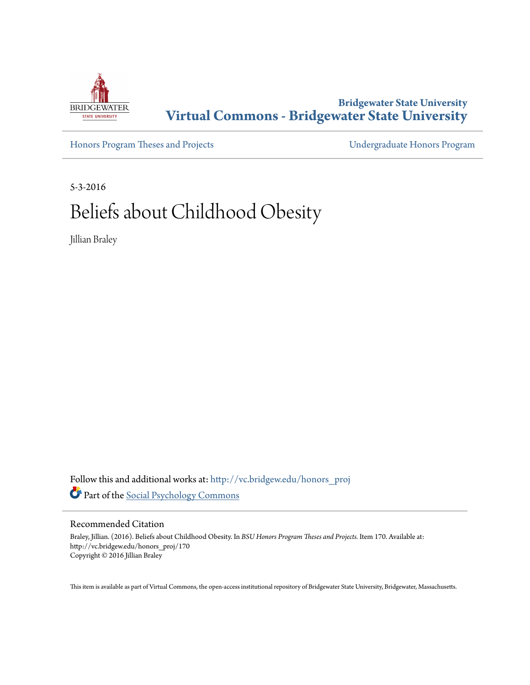

**Bridgewater State University [Virtual Commons - Bridgewater State University](http://vc.bridgew.edu?utm_source=vc.bridgew.edu%2Fhonors_proj%2F170&utm_medium=PDF&utm_campaign=PDFCoverPages)**

[Honors Program Theses and Projects](http://vc.bridgew.edu/honors_proj?utm_source=vc.bridgew.edu%2Fhonors_proj%2F170&utm_medium=PDF&utm_campaign=PDFCoverPages) [Undergraduate Honors Program](http://vc.bridgew.edu/honors?utm_source=vc.bridgew.edu%2Fhonors_proj%2F170&utm_medium=PDF&utm_campaign=PDFCoverPages)

5-3-2016

# Beliefs about Childhood Obesity

Jillian Braley

Follow this and additional works at: [http://vc.bridgew.edu/honors\\_proj](http://vc.bridgew.edu/honors_proj?utm_source=vc.bridgew.edu%2Fhonors_proj%2F170&utm_medium=PDF&utm_campaign=PDFCoverPages) Part of the [Social Psychology Commons](http://network.bepress.com/hgg/discipline/414?utm_source=vc.bridgew.edu%2Fhonors_proj%2F170&utm_medium=PDF&utm_campaign=PDFCoverPages)

#### Recommended Citation

Braley, Jillian. (2016). Beliefs about Childhood Obesity. In *BSU Honors Program Theses and Projects.* Item 170. Available at: http://vc.bridgew.edu/honors\_proj/170 Copyright © 2016 Jillian Braley

This item is available as part of Virtual Commons, the open-access institutional repository of Bridgewater State University, Bridgewater, Massachusetts.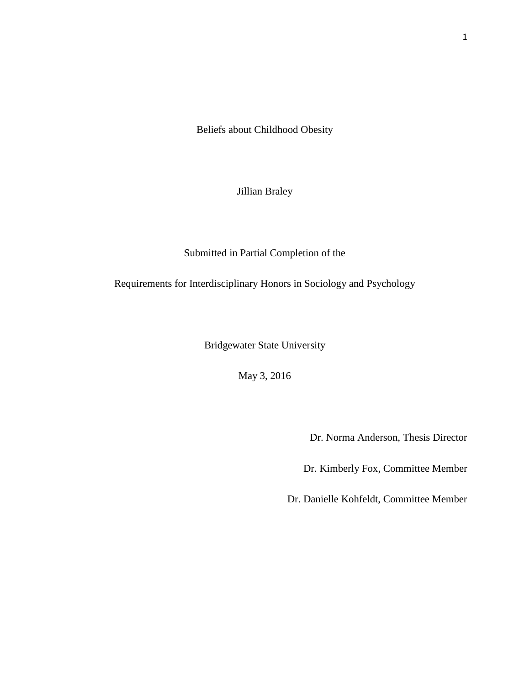Beliefs about Childhood Obesity

Jillian Braley

Submitted in Partial Completion of the

Requirements for Interdisciplinary Honors in Sociology and Psychology

Bridgewater State University

May 3, 2016

Dr. Norma Anderson, Thesis Director

Dr. Kimberly Fox, Committee Member

Dr. Danielle Kohfeldt, Committee Member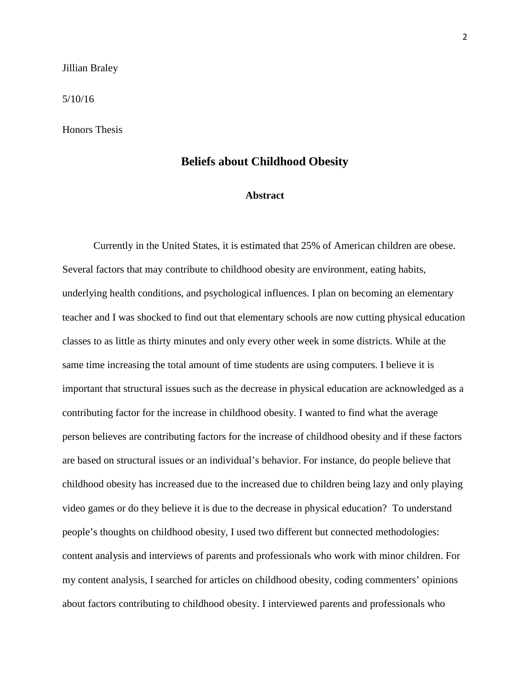#### Jillian Braley

#### 5/10/16

Honors Thesis

### **Beliefs about Childhood Obesity**

#### **Abstract**

Currently in the United States, it is estimated that 25% of American children are obese. Several factors that may contribute to childhood obesity are environment, eating habits, underlying health conditions, and psychological influences. I plan on becoming an elementary teacher and I was shocked to find out that elementary schools are now cutting physical education classes to as little as thirty minutes and only every other week in some districts. While at the same time increasing the total amount of time students are using computers. I believe it is important that structural issues such as the decrease in physical education are acknowledged as a contributing factor for the increase in childhood obesity. I wanted to find what the average person believes are contributing factors for the increase of childhood obesity and if these factors are based on structural issues or an individual's behavior. For instance, do people believe that childhood obesity has increased due to the increased due to children being lazy and only playing video games or do they believe it is due to the decrease in physical education? To understand people's thoughts on childhood obesity, I used two different but connected methodologies: content analysis and interviews of parents and professionals who work with minor children. For my content analysis, I searched for articles on childhood obesity, coding commenters' opinions about factors contributing to childhood obesity. I interviewed parents and professionals who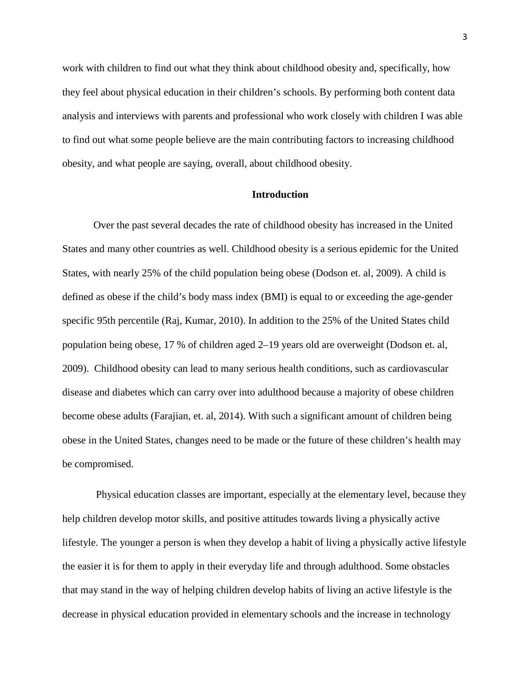work with children to find out what they think about childhood obesity and, specifically, how they feel about physical education in their children's schools. By performing both content data analysis and interviews with parents and professional who work closely with children I was able to find out what some people believe are the main contributing factors to increasing childhood obesity, and what people are saying, overall, about childhood obesity.

#### **Introduction**

Over the past several decades the rate of childhood obesity has increased in the United States and many other countries as well. Childhood obesity is a serious epidemic for the United States, with nearly 25% of the child population being obese (Dodson et. al, 2009). A child is defined as obese if the child's body mass index (BMI) is equal to or exceeding the age-gender specific 95th percentile (Raj, Kumar, 2010). In addition to the 25% of the United States child population being obese, 17 % of children aged 2–19 years old are overweight (Dodson et. al, 2009). Childhood obesity can lead to many serious health conditions, such as cardiovascular disease and diabetes which can carry over into adulthood because a majority of obese children become obese adults (Farajian, et. al, 2014). With such a significant amount of children being obese in the United States, changes need to be made or the future of these children's health may be compromised.

Physical education classes are important, especially at the elementary level, because they help children develop motor skills, and positive attitudes towards living a physically active lifestyle. The younger a person is when they develop a habit of living a physically active lifestyle the easier it is for them to apply in their everyday life and through adulthood. Some obstacles that may stand in the way of helping children develop habits of living an active lifestyle is the decrease in physical education provided in elementary schools and the increase in technology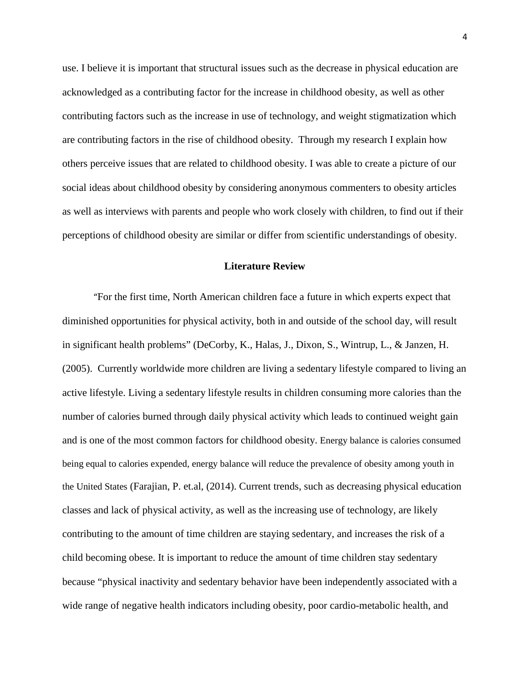use. I believe it is important that structural issues such as the decrease in physical education are acknowledged as a contributing factor for the increase in childhood obesity, as well as other contributing factors such as the increase in use of technology, and weight stigmatization which are contributing factors in the rise of childhood obesity. Through my research I explain how others perceive issues that are related to childhood obesity. I was able to create a picture of our social ideas about childhood obesity by considering anonymous commenters to obesity articles as well as interviews with parents and people who work closely with children, to find out if their perceptions of childhood obesity are similar or differ from scientific understandings of obesity.

### **Literature Review**

"For the first time, North American children face a future in which experts expect that diminished opportunities for physical activity, both in and outside of the school day, will result in significant health problems" (DeCorby, K., Halas, J., Dixon, S., Wintrup, L., & Janzen, H. (2005). Currently worldwide more children are living a sedentary lifestyle compared to living an active lifestyle. Living a sedentary lifestyle results in children consuming more calories than the number of calories burned through daily physical activity which leads to continued weight gain and is one of the most common factors for childhood obesity. Energy balance is calories consumed being equal to calories expended, energy balance will reduce the prevalence of obesity among youth in the United States (Farajian, P. et.al, (2014). Current trends, such as decreasing physical education classes and lack of physical activity, as well as the increasing use of technology, are likely contributing to the amount of time children are staying sedentary, and increases the risk of a child becoming obese. It is important to reduce the amount of time children stay sedentary because "physical inactivity and sedentary behavior have been independently associated with a wide range of negative health indicators including obesity, poor cardio-metabolic health, and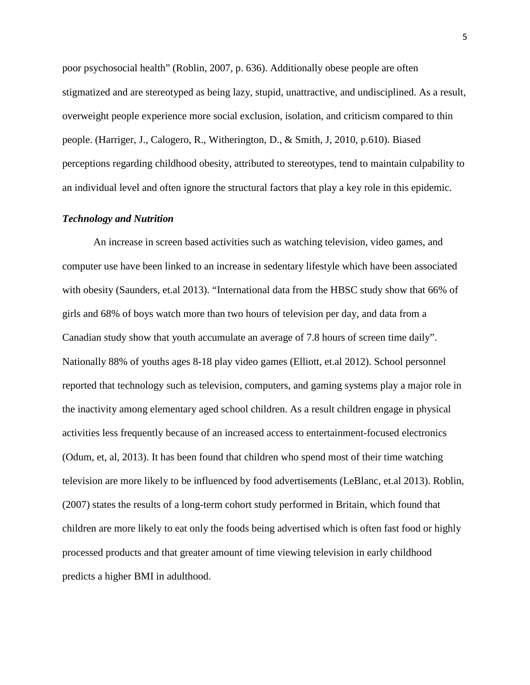poor psychosocial health" (Roblin, 2007, p. 636). Additionally obese people are often stigmatized and are stereotyped as being lazy, stupid, unattractive, and undisciplined. As a result, overweight people experience more social exclusion, isolation, and criticism compared to thin people. (Harriger, J., Calogero, R., Witherington, D., & Smith, J, 2010, p.610). Biased perceptions regarding childhood obesity, attributed to stereotypes, tend to maintain culpability to an individual level and often ignore the structural factors that play a key role in this epidemic.

#### *Technology and Nutrition*

An increase in screen based activities such as watching television, video games, and computer use have been linked to an increase in sedentary lifestyle which have been associated with obesity (Saunders, et.al 2013). "International data from the HBSC study show that 66% of girls and 68% of boys watch more than two hours of television per day, and data from a Canadian study show that youth accumulate an average of 7.8 hours of screen time daily". Nationally 88% of youths ages 8-18 play video games (Elliott, et.al 2012). School personnel reported that technology such as television, computers, and gaming systems play a major role in the inactivity among elementary aged school children. As a result children engage in physical activities less frequently because of an increased access to entertainment-focused electronics (Odum, et, al, 2013). It has been found that children who spend most of their time watching television are more likely to be influenced by food advertisements (LeBlanc, et.al 2013). Roblin, (2007) states the results of a long-term cohort study performed in Britain, which found that children are more likely to eat only the foods being advertised which is often fast food or highly processed products and that greater amount of time viewing television in early childhood predicts a higher BMI in adulthood.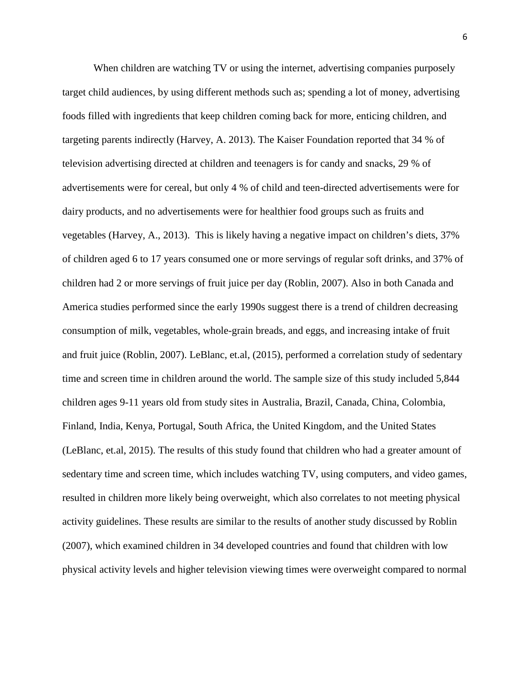When children are watching TV or using the internet, advertising companies purposely target child audiences, by using different methods such as; spending a lot of money, advertising foods filled with ingredients that keep children coming back for more, enticing children, and targeting parents indirectly (Harvey, A. 2013). The Kaiser Foundation reported that 34 % of television advertising directed at children and teenagers is for candy and snacks, 29 % of advertisements were for cereal, but only 4 % of child and teen-directed advertisements were for dairy products, and no advertisements were for healthier food groups such as fruits and vegetables (Harvey, A., 2013). This is likely having a negative impact on children's diets, 37% of children aged 6 to 17 years consumed one or more servings of regular soft drinks, and 37% of children had 2 or more servings of fruit juice per day (Roblin, 2007). Also in both Canada and America studies performed since the early 1990s suggest there is a trend of children decreasing consumption of milk, vegetables, whole-grain breads, and eggs, and increasing intake of fruit and fruit juice (Roblin, 2007). LeBlanc, et.al, (2015), performed a correlation study of sedentary time and screen time in children around the world. The sample size of this study included 5,844 children ages 9-11 years old from study sites in Australia, Brazil, Canada, China, Colombia, Finland, India, Kenya, Portugal, South Africa, the United Kingdom, and the United States (LeBlanc, et.al, 2015). The results of this study found that children who had a greater amount of sedentary time and screen time, which includes watching TV, using computers, and video games, resulted in children more likely being overweight, which also correlates to not meeting physical activity guidelines. These results are similar to the results of another study discussed by Roblin (2007), which examined children in 34 developed countries and found that children with low physical activity levels and higher television viewing times were overweight compared to normal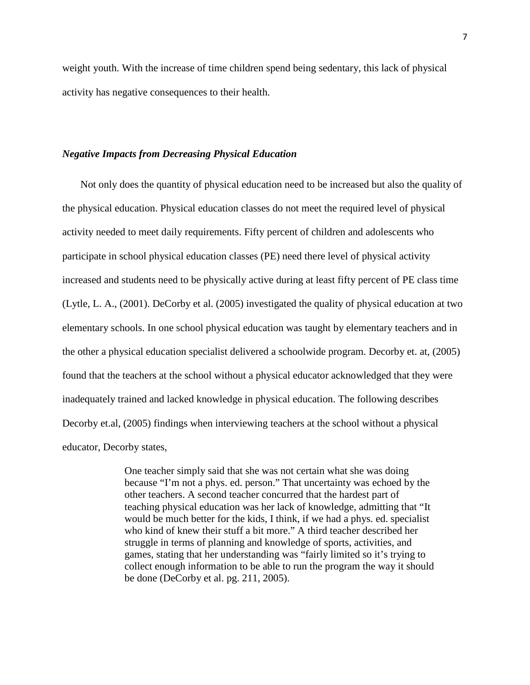weight youth. With the increase of time children spend being sedentary, this lack of physical activity has negative consequences to their health.

#### *Negative Impacts from Decreasing Physical Education*

Not only does the quantity of physical education need to be increased but also the quality of the physical education. Physical education classes do not meet the required level of physical activity needed to meet daily requirements. Fifty percent of children and adolescents who participate in school physical education classes (PE) need there level of physical activity increased and students need to be physically active during at least fifty percent of PE class time (Lytle, L. A., (2001). DeCorby et al. (2005) investigated the quality of physical education at two elementary schools. In one school physical education was taught by elementary teachers and in the other a physical education specialist delivered a schoolwide program. Decorby et. at, (2005) found that the teachers at the school without a physical educator acknowledged that they were inadequately trained and lacked knowledge in physical education. The following describes Decorby et.al, (2005) findings when interviewing teachers at the school without a physical educator, Decorby states,

> One teacher simply said that she was not certain what she was doing because "I'm not a phys. ed. person." That uncertainty was echoed by the other teachers. A second teacher concurred that the hardest part of teaching physical education was her lack of knowledge, admitting that "It would be much better for the kids, I think, if we had a phys. ed. specialist who kind of knew their stuff a bit more." A third teacher described her struggle in terms of planning and knowledge of sports, activities, and games, stating that her understanding was "fairly limited so it's trying to collect enough information to be able to run the program the way it should be done (DeCorby et al. pg. 211, 2005).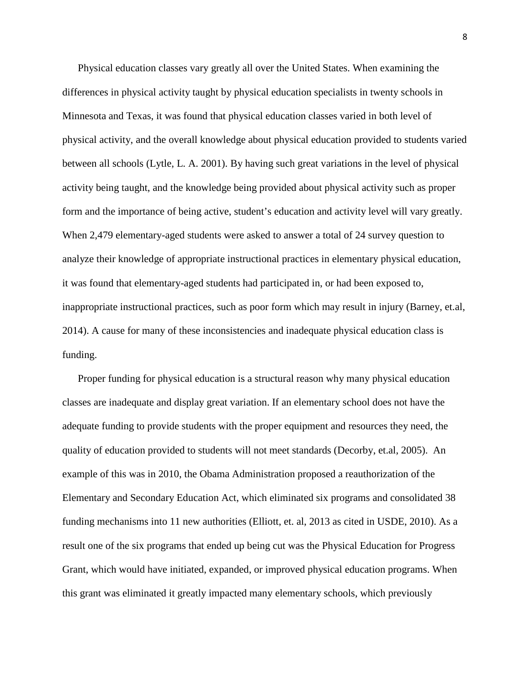Physical education classes vary greatly all over the United States. When examining the differences in physical activity taught by physical education specialists in twenty schools in Minnesota and Texas, it was found that physical education classes varied in both level of physical activity, and the overall knowledge about physical education provided to students varied between all schools (Lytle, L. A. 2001). By having such great variations in the level of physical activity being taught, and the knowledge being provided about physical activity such as proper form and the importance of being active, student's education and activity level will vary greatly. When 2,479 elementary-aged students were asked to answer a total of 24 survey question to analyze their knowledge of appropriate instructional practices in elementary physical education, it was found that elementary-aged students had participated in, or had been exposed to, inappropriate instructional practices, such as poor form which may result in injury (Barney, et.al, 2014). A cause for many of these inconsistencies and inadequate physical education class is funding.

Proper funding for physical education is a structural reason why many physical education classes are inadequate and display great variation. If an elementary school does not have the adequate funding to provide students with the proper equipment and resources they need, the quality of education provided to students will not meet standards (Decorby, et.al, 2005). An example of this was in 2010, the Obama Administration proposed a reauthorization of the Elementary and Secondary Education Act, which eliminated six programs and consolidated 38 funding mechanisms into 11 new authorities (Elliott, et. al, 2013 as cited in USDE, 2010). As a result one of the six programs that ended up being cut was the Physical Education for Progress Grant, which would have initiated, expanded, or improved physical education programs. When this grant was eliminated it greatly impacted many elementary schools, which previously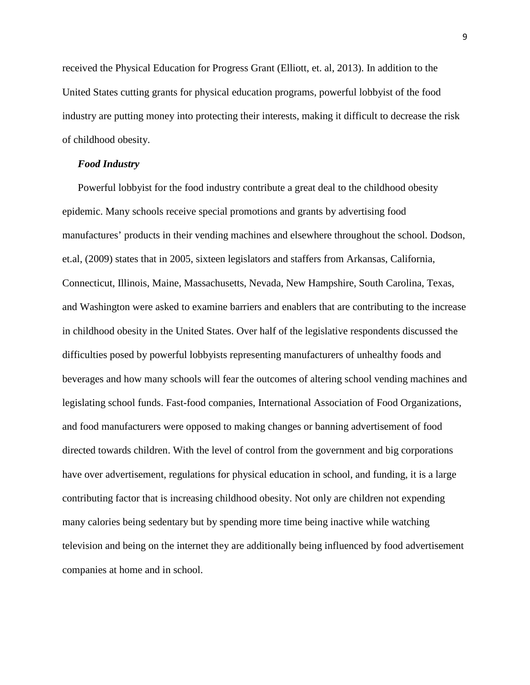received the Physical Education for Progress Grant (Elliott, et. al, 2013). In addition to the United States cutting grants for physical education programs, powerful lobbyist of the food industry are putting money into protecting their interests, making it difficult to decrease the risk of childhood obesity.

#### *Food Industry*

Powerful lobbyist for the food industry contribute a great deal to the childhood obesity epidemic. Many schools receive special promotions and grants by advertising food manufactures' products in their vending machines and elsewhere throughout the school. Dodson, et.al, (2009) states that in 2005, sixteen legislators and staffers from Arkansas, California, Connecticut, Illinois, Maine, Massachusetts, Nevada, New Hampshire, South Carolina, Texas, and Washington were asked to examine barriers and enablers that are contributing to the increase in childhood obesity in the United States. Over half of the legislative respondents discussed the difficulties posed by powerful lobbyists representing manufacturers of unhealthy foods and beverages and how many schools will fear the outcomes of altering school vending machines and legislating school funds. Fast-food companies, International Association of Food Organizations, and food manufacturers were opposed to making changes or banning advertisement of food directed towards children. With the level of control from the government and big corporations have over advertisement, regulations for physical education in school, and funding, it is a large contributing factor that is increasing childhood obesity. Not only are children not expending many calories being sedentary but by spending more time being inactive while watching television and being on the internet they are additionally being influenced by food advertisement companies at home and in school.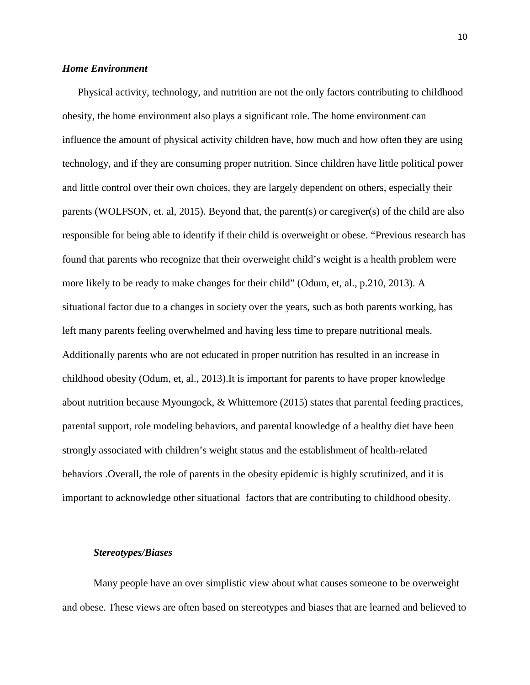### *Home Environment*

Physical activity, technology, and nutrition are not the only factors contributing to childhood obesity, the home environment also plays a significant role. The home environment can influence the amount of physical activity children have, how much and how often they are using technology, and if they are consuming proper nutrition. Since children have little political power and little control over their own choices, they are largely dependent on others, especially their parents (WOLFSON, et. al, 2015). Beyond that, the parent(s) or caregiver(s) of the child are also responsible for being able to identify if their child is overweight or obese. "Previous research has found that parents who recognize that their overweight child's weight is a health problem were more likely to be ready to make changes for their child" (Odum, et, al., p.210, 2013). A situational factor due to a changes in society over the years, such as both parents working, has left many parents feeling overwhelmed and having less time to prepare nutritional meals. Additionally parents who are not educated in proper nutrition has resulted in an increase in childhood obesity (Odum, et, al., 2013).It is important for parents to have proper knowledge about nutrition because Myoungock, & Whittemore (2015) states that parental feeding practices, parental support, role modeling behaviors, and parental knowledge of a healthy diet have been strongly associated with children's weight status and the establishment of health-related behaviors .Overall, the role of parents in the obesity epidemic is highly scrutinized, and it is important to acknowledge other situational factors that are contributing to childhood obesity.

#### *Stereotypes/Biases*

Many people have an over simplistic view about what causes someone to be overweight and obese. These views are often based on stereotypes and biases that are learned and believed to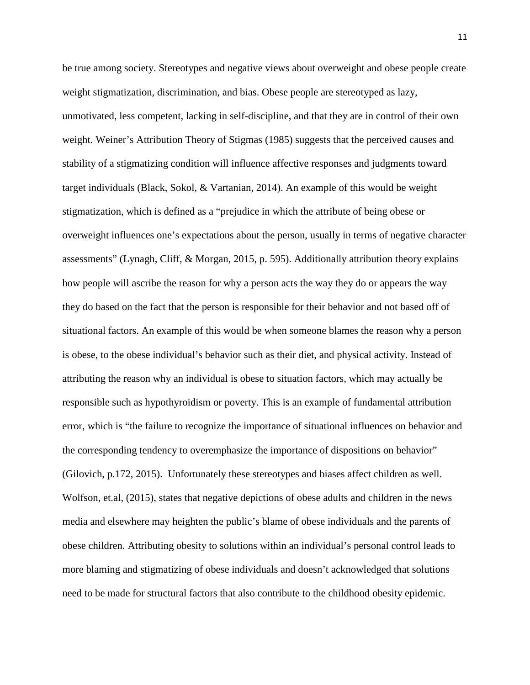be true among society. Stereotypes and negative views about overweight and obese people create weight stigmatization, discrimination, and bias. Obese people are stereotyped as lazy, unmotivated, less competent, lacking in self-discipline, and that they are in control of their own weight. Weiner's Attribution Theory of Stigmas (1985) suggests that the perceived causes and stability of a stigmatizing condition will influence affective responses and judgments toward target individuals (Black, Sokol, & Vartanian, 2014). An example of this would be weight stigmatization, which is defined as a "prejudice in which the attribute of being obese or overweight influences one's expectations about the person, usually in terms of negative character assessments" (Lynagh, Cliff, & Morgan, 2015, p. 595). Additionally attribution theory explains how people will ascribe the reason for why a person acts the way they do or appears the way they do based on the fact that the person is responsible for their behavior and not based off of situational factors. An example of this would be when someone blames the reason why a person is obese, to the obese individual's behavior such as their diet, and physical activity. Instead of attributing the reason why an individual is obese to situation factors, which may actually be responsible such as hypothyroidism or poverty. This is an example of fundamental attribution error, which is "the failure to recognize the importance of situational influences on behavior and the corresponding tendency to overemphasize the importance of dispositions on behavior" (Gilovich, p.172, 2015). Unfortunately these stereotypes and biases affect children as well. Wolfson, et.al, (2015), states that negative depictions of obese adults and children in the news media and elsewhere may heighten the public's blame of obese individuals and the parents of obese children. Attributing obesity to solutions within an individual's personal control leads to more blaming and stigmatizing of obese individuals and doesn't acknowledged that solutions need to be made for structural factors that also contribute to the childhood obesity epidemic.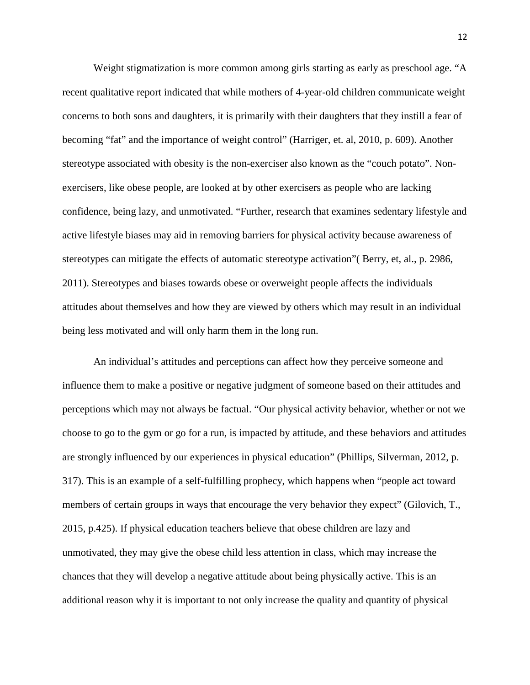Weight stigmatization is more common among girls starting as early as preschool age. "A recent qualitative report indicated that while mothers of 4-year-old children communicate weight concerns to both sons and daughters, it is primarily with their daughters that they instill a fear of becoming "fat" and the importance of weight control" (Harriger, et. al, 2010, p. 609). Another stereotype associated with obesity is the non-exerciser also known as the "couch potato". Nonexercisers, like obese people, are looked at by other exercisers as people who are lacking confidence, being lazy, and unmotivated. "Further, research that examines sedentary lifestyle and active lifestyle biases may aid in removing barriers for physical activity because awareness of stereotypes can mitigate the effects of automatic stereotype activation"( Berry, et, al., p. 2986, 2011). Stereotypes and biases towards obese or overweight people affects the individuals attitudes about themselves and how they are viewed by others which may result in an individual being less motivated and will only harm them in the long run.

An individual's attitudes and perceptions can affect how they perceive someone and influence them to make a positive or negative judgment of someone based on their attitudes and perceptions which may not always be factual. "Our physical activity behavior, whether or not we choose to go to the gym or go for a run, is impacted by attitude, and these behaviors and attitudes are strongly influenced by our experiences in physical education" (Phillips, Silverman, 2012, p. 317). This is an example of a self-fulfilling prophecy, which happens when "people act toward members of certain groups in ways that encourage the very behavior they expect" (Gilovich, T., 2015, p.425). If physical education teachers believe that obese children are lazy and unmotivated, they may give the obese child less attention in class, which may increase the chances that they will develop a negative attitude about being physically active. This is an additional reason why it is important to not only increase the quality and quantity of physical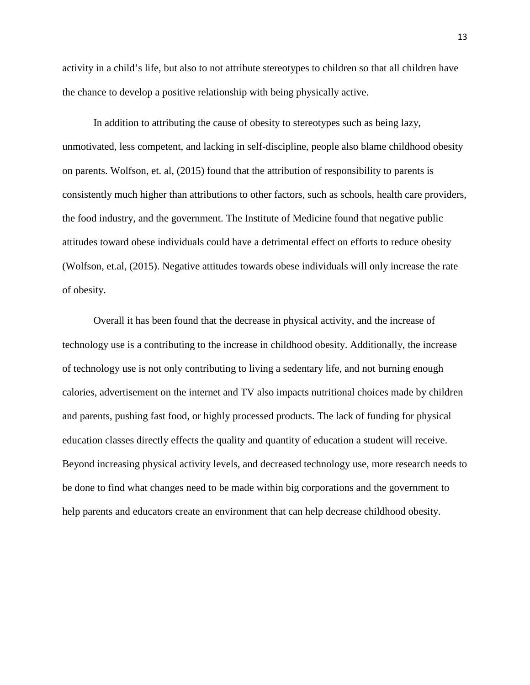activity in a child's life, but also to not attribute stereotypes to children so that all children have the chance to develop a positive relationship with being physically active.

In addition to attributing the cause of obesity to stereotypes such as being lazy, unmotivated, less competent, and lacking in self-discipline, people also blame childhood obesity on parents. Wolfson, et. al, (2015) found that the attribution of responsibility to parents is consistently much higher than attributions to other factors, such as schools, health care providers, the food industry, and the government. The Institute of Medicine found that negative public attitudes toward obese individuals could have a detrimental effect on efforts to reduce obesity (Wolfson, et.al, (2015). Negative attitudes towards obese individuals will only increase the rate of obesity.

Overall it has been found that the decrease in physical activity, and the increase of technology use is a contributing to the increase in childhood obesity. Additionally, the increase of technology use is not only contributing to living a sedentary life, and not burning enough calories, advertisement on the internet and TV also impacts nutritional choices made by children and parents, pushing fast food, or highly processed products. The lack of funding for physical education classes directly effects the quality and quantity of education a student will receive. Beyond increasing physical activity levels, and decreased technology use, more research needs to be done to find what changes need to be made within big corporations and the government to help parents and educators create an environment that can help decrease childhood obesity.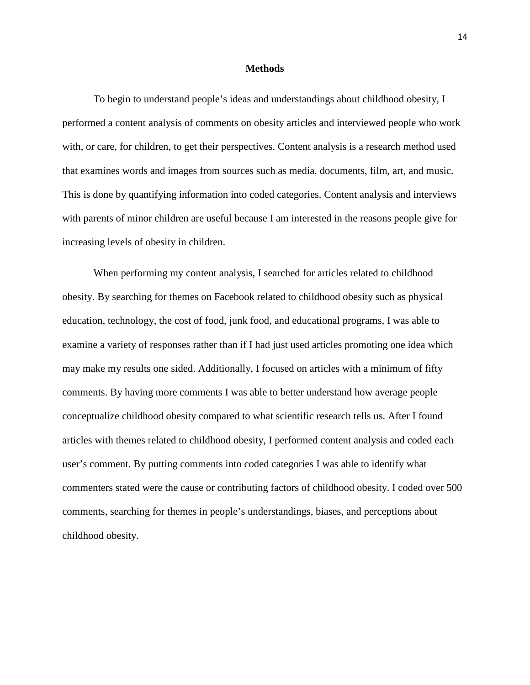#### **Methods**

To begin to understand people's ideas and understandings about childhood obesity, I performed a content analysis of comments on obesity articles and interviewed people who work with, or care, for children, to get their perspectives. Content analysis is a research method used that examines words and images from sources such as media, documents, film, art, and music. This is done by quantifying information into coded categories. Content analysis and interviews with parents of minor children are useful because I am interested in the reasons people give for increasing levels of obesity in children.

When performing my content analysis, I searched for articles related to childhood obesity. By searching for themes on Facebook related to childhood obesity such as physical education, technology, the cost of food, junk food, and educational programs, I was able to examine a variety of responses rather than if I had just used articles promoting one idea which may make my results one sided. Additionally, I focused on articles with a minimum of fifty comments. By having more comments I was able to better understand how average people conceptualize childhood obesity compared to what scientific research tells us. After I found articles with themes related to childhood obesity, I performed content analysis and coded each user's comment. By putting comments into coded categories I was able to identify what commenters stated were the cause or contributing factors of childhood obesity. I coded over 500 comments, searching for themes in people's understandings, biases, and perceptions about childhood obesity.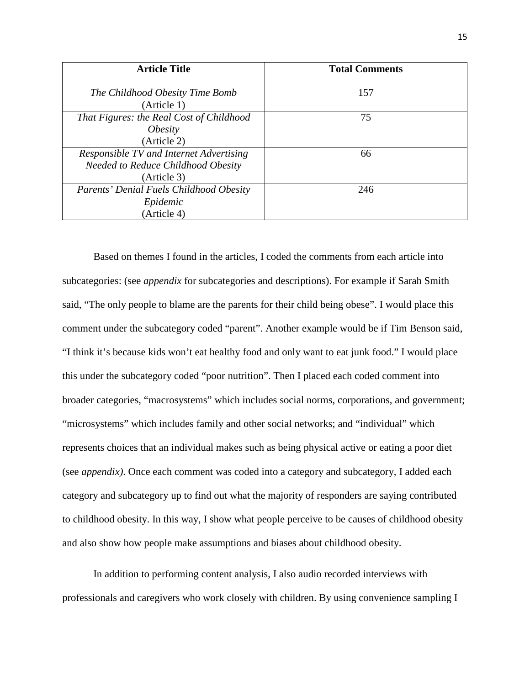| <b>Article Title</b>                     | <b>Total Comments</b> |
|------------------------------------------|-----------------------|
|                                          | 157                   |
| The Childhood Obesity Time Bomb          |                       |
| (Article 1)                              |                       |
| That Figures: the Real Cost of Childhood | 75                    |
| <i>Obesity</i>                           |                       |
| (Article 2)                              |                       |
| Responsible TV and Internet Advertising  | 66                    |
| Needed to Reduce Childhood Obesity       |                       |
| (Article 3)                              |                       |
| Parents' Denial Fuels Childhood Obesity  | 246                   |
| Epidemic                                 |                       |
| (Article 4)                              |                       |

Based on themes I found in the articles, I coded the comments from each article into subcategories: (see *appendix* for subcategories and descriptions). For example if Sarah Smith said, "The only people to blame are the parents for their child being obese". I would place this comment under the subcategory coded "parent". Another example would be if Tim Benson said, "I think it's because kids won't eat healthy food and only want to eat junk food." I would place this under the subcategory coded "poor nutrition". Then I placed each coded comment into broader categories, "macrosystems" which includes social norms, corporations, and government; "microsystems" which includes family and other social networks; and "individual" which represents choices that an individual makes such as being physical active or eating a poor diet (see *appendix)*. Once each comment was coded into a category and subcategory, I added each category and subcategory up to find out what the majority of responders are saying contributed to childhood obesity. In this way, I show what people perceive to be causes of childhood obesity and also show how people make assumptions and biases about childhood obesity.

In addition to performing content analysis, I also audio recorded interviews with professionals and caregivers who work closely with children. By using convenience sampling I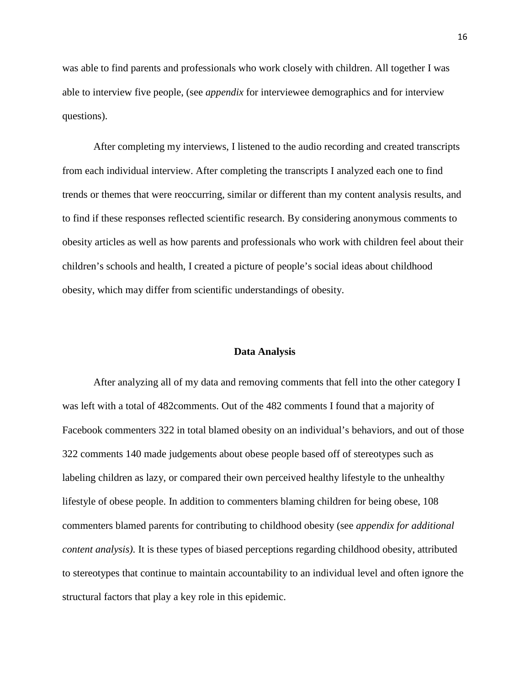was able to find parents and professionals who work closely with children. All together I was able to interview five people, (see *appendix* for interviewee demographics and for interview questions).

After completing my interviews, I listened to the audio recording and created transcripts from each individual interview. After completing the transcripts I analyzed each one to find trends or themes that were reoccurring, similar or different than my content analysis results, and to find if these responses reflected scientific research. By considering anonymous comments to obesity articles as well as how parents and professionals who work with children feel about their children's schools and health, I created a picture of people's social ideas about childhood obesity, which may differ from scientific understandings of obesity.

#### **Data Analysis**

After analyzing all of my data and removing comments that fell into the other category I was left with a total of 482comments. Out of the 482 comments I found that a majority of Facebook commenters 322 in total blamed obesity on an individual's behaviors, and out of those 322 comments 140 made judgements about obese people based off of stereotypes such as labeling children as lazy, or compared their own perceived healthy lifestyle to the unhealthy lifestyle of obese people. In addition to commenters blaming children for being obese, 108 commenters blamed parents for contributing to childhood obesity (see *appendix for additional content analysis)*. It is these types of biased perceptions regarding childhood obesity, attributed to stereotypes that continue to maintain accountability to an individual level and often ignore the structural factors that play a key role in this epidemic.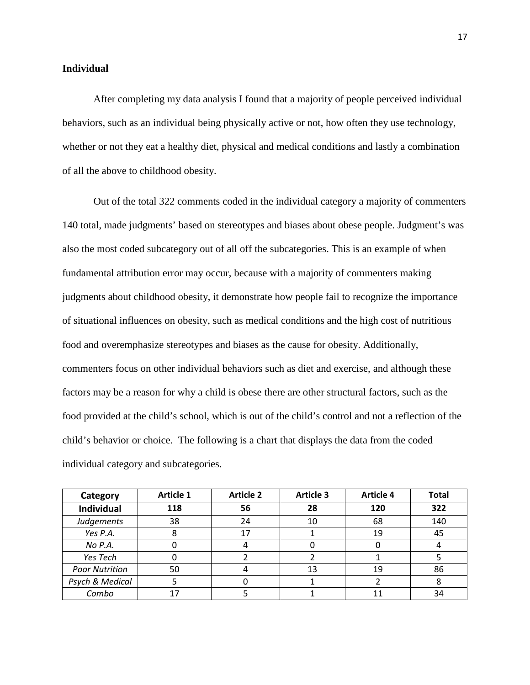#### **Individual**

After completing my data analysis I found that a majority of people perceived individual behaviors, such as an individual being physically active or not, how often they use technology, whether or not they eat a healthy diet, physical and medical conditions and lastly a combination of all the above to childhood obesity.

Out of the total 322 comments coded in the individual category a majority of commenters 140 total, made judgments' based on stereotypes and biases about obese people. Judgment's was also the most coded subcategory out of all off the subcategories. This is an example of when fundamental attribution error may occur, because with a majority of commenters making judgments about childhood obesity, it demonstrate how people fail to recognize the importance of situational influences on obesity, such as medical conditions and the high cost of nutritious food and overemphasize stereotypes and biases as the cause for obesity. Additionally, commenters focus on other individual behaviors such as diet and exercise, and although these factors may be a reason for why a child is obese there are other structural factors, such as the food provided at the child's school, which is out of the child's control and not a reflection of the child's behavior or choice. The following is a chart that displays the data from the coded individual category and subcategories.

| Category              | <b>Article 1</b> | <b>Article 2</b> | <b>Article 3</b> | <b>Article 4</b> | <b>Total</b> |
|-----------------------|------------------|------------------|------------------|------------------|--------------|
| <b>Individual</b>     | 118              | 56               | 28               | 120              | 322          |
| Judgements            | 38               | 24               | 10               | 68               | 140          |
| Yes P.A.              |                  | 17               |                  | 19               | 45           |
| No P.A.               |                  |                  |                  |                  |              |
| Yes Tech              |                  |                  |                  |                  |              |
| <b>Poor Nutrition</b> | 50               |                  | 13               | 19               | 86           |
| Psych & Medical       |                  |                  |                  |                  |              |
| Combo                 |                  |                  |                  | 11               | 34           |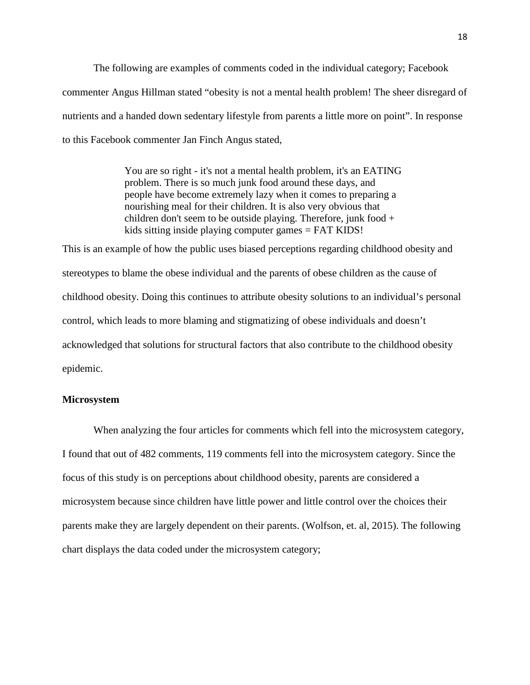The following are examples of comments coded in the individual category; Facebook commenter Angus Hillman stated "obesity is not a mental health problem! The sheer disregard of nutrients and a handed down sedentary lifestyle from parents a little more on point". In response to this Facebook commenter Jan Finch Angus stated,

> You are so right - it's not a mental health problem, it's an EATING problem. There is so much junk food around these days, and people have become extremely lazy when it comes to preparing a nourishing meal for their children. It is also very obvious that children don't seem to be outside playing. Therefore, junk food + kids sitting inside playing computer games = FAT KIDS!

This is an example of how the public uses biased perceptions regarding childhood obesity and stereotypes to blame the obese individual and the parents of obese children as the cause of childhood obesity. Doing this continues to attribute obesity solutions to an individual's personal control, which leads to more blaming and stigmatizing of obese individuals and doesn't acknowledged that solutions for structural factors that also contribute to the childhood obesity epidemic.

### **Microsystem**

When analyzing the four articles for comments which fell into the microsystem category, I found that out of 482 comments, 119 comments fell into the microsystem category. Since the focus of this study is on perceptions about childhood obesity, parents are considered a microsystem because since children have little power and little control over the choices their parents make they are largely dependent on their parents. (Wolfson, et. al, 2015). The following chart displays the data coded under the microsystem category;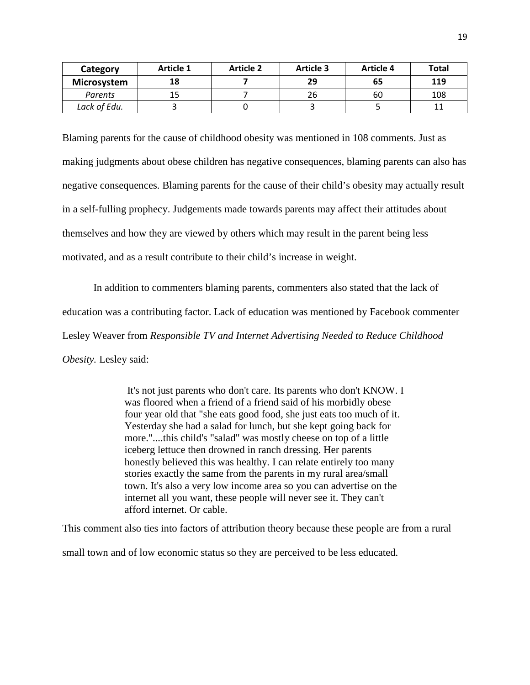| Category     | Article 1 | <b>Article 2</b> | <b>Article 3</b> | Article 4 | Total |
|--------------|-----------|------------------|------------------|-----------|-------|
| Microsystem  | 18        |                  | 29               | 65        | 119   |
| Parents      | 15        |                  | 26               | 60        | 108   |
| Lack of Edu. |           |                  |                  |           |       |

Blaming parents for the cause of childhood obesity was mentioned in 108 comments. Just as making judgments about obese children has negative consequences, blaming parents can also has negative consequences. Blaming parents for the cause of their child's obesity may actually result in a self-fulling prophecy. Judgements made towards parents may affect their attitudes about themselves and how they are viewed by others which may result in the parent being less motivated, and as a result contribute to their child's increase in weight.

In addition to commenters blaming parents, commenters also stated that the lack of education was a contributing factor. Lack of education was mentioned by Facebook commenter Lesley Weaver from *Responsible TV and Internet Advertising Needed to Reduce Childhood Obesity.* Lesley said:

> It's not just parents who don't care. Its parents who don't KNOW. I was floored when a friend of a friend said of his morbidly obese four year old that "she eats good food, she just eats too much of it. Yesterday she had a salad for lunch, but she kept going back for more."....this child's "salad" was mostly cheese on top of a little iceberg lettuce then drowned in ranch dressing. Her parents honestly believed this was healthy. I can relate entirely too many stories exactly the same from the parents in my rural area/small town. It's also a very low income area so you can advertise on the internet all you want, these people will never see it. They can't afford internet. Or cable.

This comment also ties into factors of attribution theory because these people are from a rural

small town and of low economic status so they are perceived to be less educated.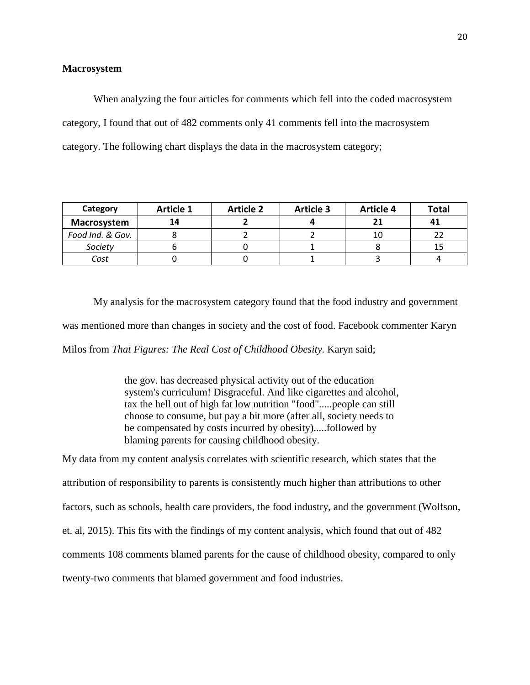#### **Macrosystem**

When analyzing the four articles for comments which fell into the coded macrosystem category, I found that out of 482 comments only 41 comments fell into the macrosystem category. The following chart displays the data in the macrosystem category;

| Category         | <b>Article 1</b> | <b>Article 2</b> | <b>Article 3</b> | <b>Article 4</b> | <b>Total</b> |
|------------------|------------------|------------------|------------------|------------------|--------------|
| Macrosystem      | 14               |                  |                  | 21               |              |
| Food Ind. & Gov. |                  |                  |                  | 10               |              |
| Society          |                  |                  |                  |                  |              |
| Cost             |                  |                  |                  |                  |              |

My analysis for the macrosystem category found that the food industry and government was mentioned more than changes in society and the cost of food. Facebook commenter Karyn Milos from *That Figures: The Real Cost of Childhood Obesity.* Karyn said;

> the gov. has decreased physical activity out of the education system's curriculum! Disgraceful. And like cigarettes and alcohol, tax the hell out of high fat low nutrition "food".....people can still choose to consume, but pay a bit more (after all, society needs to be compensated by costs incurred by obesity).....followed by blaming parents for causing childhood obesity.

My data from my content analysis correlates with scientific research, which states that the attribution of responsibility to parents is consistently much higher than attributions to other factors, such as schools, health care providers, the food industry, and the government (Wolfson, et. al, 2015). This fits with the findings of my content analysis, which found that out of 482 comments 108 comments blamed parents for the cause of childhood obesity, compared to only twenty-two comments that blamed government and food industries.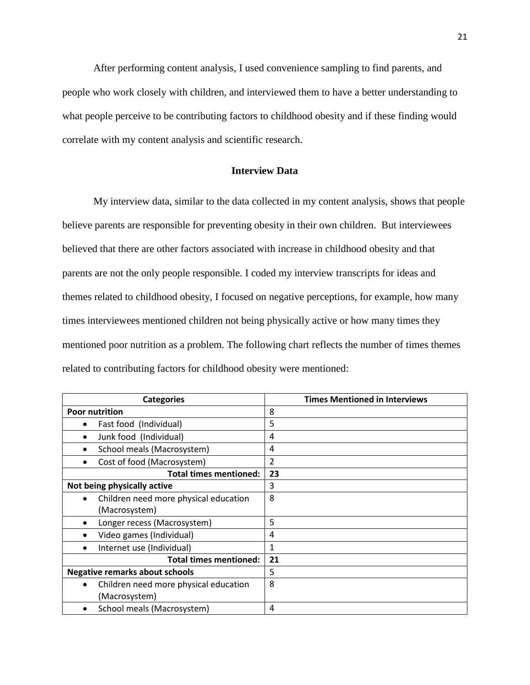After performing content analysis, I used convenience sampling to find parents, and people who work closely with children, and interviewed them to have a better understanding to what people perceive to be contributing factors to childhood obesity and if these finding would correlate with my content analysis and scientific research.

### **Interview Data**

My interview data, similar to the data collected in my content analysis, shows that people believe parents are responsible for preventing obesity in their own children. But interviewees believed that there are other factors associated with increase in childhood obesity and that parents are not the only people responsible. I coded my interview transcripts for ideas and themes related to childhood obesity, I focused on negative perceptions, for example, how many times interviewees mentioned children not being physically active or how many times they mentioned poor nutrition as a problem. The following chart reflects the number of times themes related to contributing factors for childhood obesity were mentioned:

| <b>Categories</b>                                  | <b>Times Mentioned in Interviews</b> |
|----------------------------------------------------|--------------------------------------|
| <b>Poor nutrition</b>                              | 8                                    |
| Fast food (Individual)                             | 5                                    |
| Junk food (Individual)                             | 4                                    |
| School meals (Macrosystem)                         | 4                                    |
| Cost of food (Macrosystem)                         | 2                                    |
| <b>Total times mentioned:</b>                      | 23                                   |
| Not being physically active                        | 3                                    |
| Children need more physical education<br>$\bullet$ | 8                                    |
| (Macrosystem)                                      |                                      |
| Longer recess (Macrosystem)                        | 5                                    |
| Video games (Individual)                           | 4                                    |
| Internet use (Individual)                          | 1                                    |
| <b>Total times mentioned:</b>                      | 21                                   |
| <b>Negative remarks about schools</b>              | 5                                    |
| Children need more physical education              | 8                                    |
| (Macrosystem)                                      |                                      |
| School meals (Macrosystem)                         | 4                                    |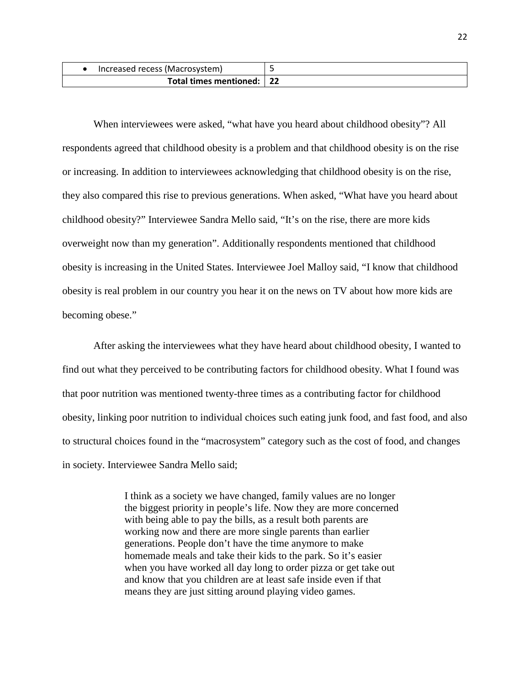| Increased recess (Macrosystem) |  |
|--------------------------------|--|
| Total times mentioned:         |  |

When interviewees were asked, "what have you heard about childhood obesity"? All respondents agreed that childhood obesity is a problem and that childhood obesity is on the rise or increasing. In addition to interviewees acknowledging that childhood obesity is on the rise, they also compared this rise to previous generations. When asked, "What have you heard about childhood obesity?" Interviewee Sandra Mello said, "It's on the rise, there are more kids overweight now than my generation". Additionally respondents mentioned that childhood obesity is increasing in the United States. Interviewee Joel Malloy said, "I know that childhood obesity is real problem in our country you hear it on the news on TV about how more kids are becoming obese."

After asking the interviewees what they have heard about childhood obesity, I wanted to find out what they perceived to be contributing factors for childhood obesity. What I found was that poor nutrition was mentioned twenty-three times as a contributing factor for childhood obesity, linking poor nutrition to individual choices such eating junk food, and fast food, and also to structural choices found in the "macrosystem" category such as the cost of food, and changes in society. Interviewee Sandra Mello said;

> I think as a society we have changed, family values are no longer the biggest priority in people's life. Now they are more concerned with being able to pay the bills, as a result both parents are working now and there are more single parents than earlier generations. People don't have the time anymore to make homemade meals and take their kids to the park. So it's easier when you have worked all day long to order pizza or get take out and know that you children are at least safe inside even if that means they are just sitting around playing video games.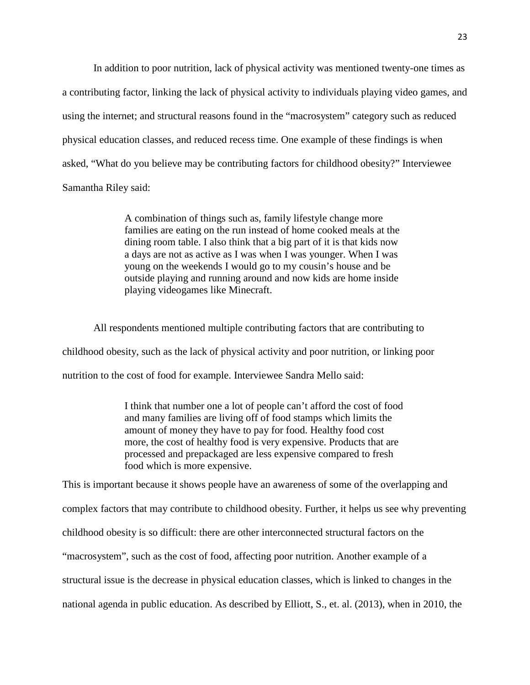In addition to poor nutrition, lack of physical activity was mentioned twenty-one times as a contributing factor, linking the lack of physical activity to individuals playing video games, and using the internet; and structural reasons found in the "macrosystem" category such as reduced physical education classes, and reduced recess time. One example of these findings is when asked, "What do you believe may be contributing factors for childhood obesity?" Interviewee Samantha Riley said:

> A combination of things such as, family lifestyle change more families are eating on the run instead of home cooked meals at the dining room table. I also think that a big part of it is that kids now a days are not as active as I was when I was younger. When I was young on the weekends I would go to my cousin's house and be outside playing and running around and now kids are home inside playing videogames like Minecraft.

All respondents mentioned multiple contributing factors that are contributing to childhood obesity, such as the lack of physical activity and poor nutrition, or linking poor nutrition to the cost of food for example. Interviewee Sandra Mello said:

> I think that number one a lot of people can't afford the cost of food and many families are living off of food stamps which limits the amount of money they have to pay for food. Healthy food cost more, the cost of healthy food is very expensive. Products that are processed and prepackaged are less expensive compared to fresh food which is more expensive.

This is important because it shows people have an awareness of some of the overlapping and complex factors that may contribute to childhood obesity. Further, it helps us see why preventing childhood obesity is so difficult: there are other interconnected structural factors on the "macrosystem", such as the cost of food, affecting poor nutrition. Another example of a structural issue is the decrease in physical education classes, which is linked to changes in the national agenda in public education. As described by Elliott, S., et. al. (2013), when in 2010, the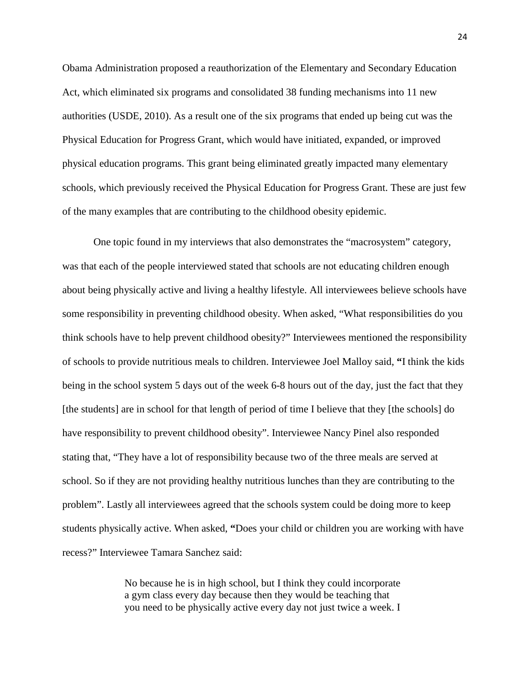Obama Administration proposed a reauthorization of the Elementary and Secondary Education Act, which eliminated six programs and consolidated 38 funding mechanisms into 11 new authorities (USDE, 2010). As a result one of the six programs that ended up being cut was the Physical Education for Progress Grant, which would have initiated, expanded, or improved physical education programs. This grant being eliminated greatly impacted many elementary schools, which previously received the Physical Education for Progress Grant. These are just few of the many examples that are contributing to the childhood obesity epidemic.

One topic found in my interviews that also demonstrates the "macrosystem" category, was that each of the people interviewed stated that schools are not educating children enough about being physically active and living a healthy lifestyle. All interviewees believe schools have some responsibility in preventing childhood obesity. When asked, "What responsibilities do you think schools have to help prevent childhood obesity?" Interviewees mentioned the responsibility of schools to provide nutritious meals to children. Interviewee Joel Malloy said, **"**I think the kids being in the school system 5 days out of the week 6-8 hours out of the day, just the fact that they [the students] are in school for that length of period of time I believe that they [the schools] do have responsibility to prevent childhood obesity". Interviewee Nancy Pinel also responded stating that, "They have a lot of responsibility because two of the three meals are served at school. So if they are not providing healthy nutritious lunches than they are contributing to the problem". Lastly all interviewees agreed that the schools system could be doing more to keep students physically active. When asked, **"**Does your child or children you are working with have recess?" Interviewee Tamara Sanchez said:

> No because he is in high school, but I think they could incorporate a gym class every day because then they would be teaching that you need to be physically active every day not just twice a week. I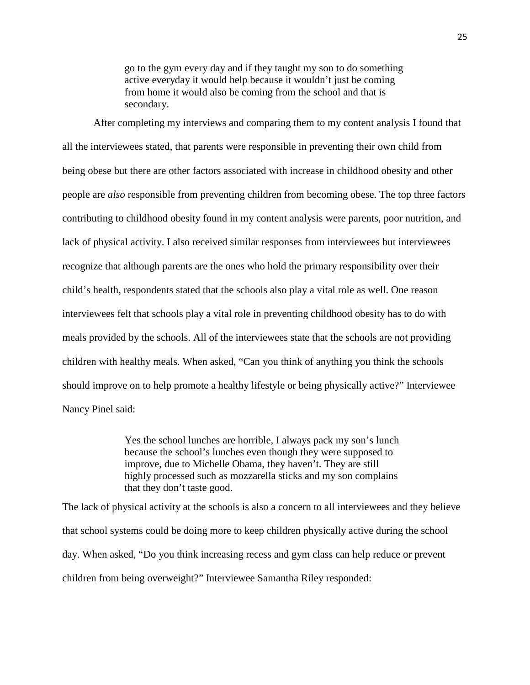go to the gym every day and if they taught my son to do something active everyday it would help because it wouldn't just be coming from home it would also be coming from the school and that is secondary.

After completing my interviews and comparing them to my content analysis I found that all the interviewees stated, that parents were responsible in preventing their own child from being obese but there are other factors associated with increase in childhood obesity and other people are *also* responsible from preventing children from becoming obese. The top three factors contributing to childhood obesity found in my content analysis were parents, poor nutrition, and lack of physical activity. I also received similar responses from interviewees but interviewees recognize that although parents are the ones who hold the primary responsibility over their child's health, respondents stated that the schools also play a vital role as well. One reason interviewees felt that schools play a vital role in preventing childhood obesity has to do with meals provided by the schools. All of the interviewees state that the schools are not providing children with healthy meals. When asked, "Can you think of anything you think the schools should improve on to help promote a healthy lifestyle or being physically active?" Interviewee Nancy Pinel said:

> Yes the school lunches are horrible, I always pack my son's lunch because the school's lunches even though they were supposed to improve, due to Michelle Obama, they haven't. They are still highly processed such as mozzarella sticks and my son complains that they don't taste good.

The lack of physical activity at the schools is also a concern to all interviewees and they believe that school systems could be doing more to keep children physically active during the school day. When asked, "Do you think increasing recess and gym class can help reduce or prevent children from being overweight?" Interviewee Samantha Riley responded: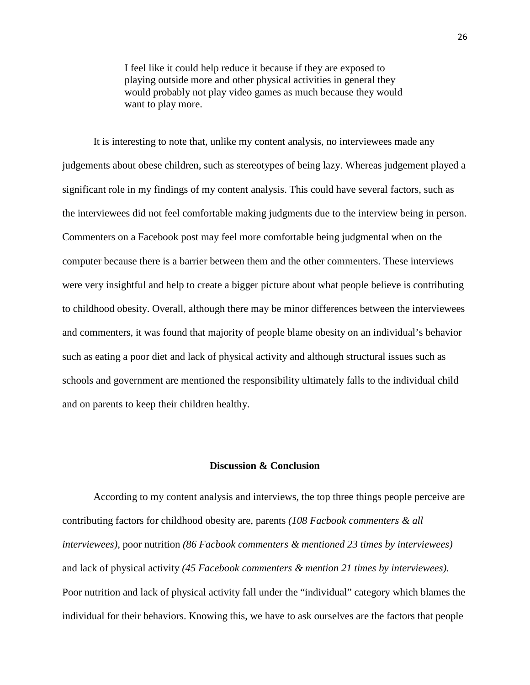I feel like it could help reduce it because if they are exposed to playing outside more and other physical activities in general they would probably not play video games as much because they would want to play more.

It is interesting to note that, unlike my content analysis, no interviewees made any judgements about obese children, such as stereotypes of being lazy. Whereas judgement played a significant role in my findings of my content analysis. This could have several factors, such as the interviewees did not feel comfortable making judgments due to the interview being in person. Commenters on a Facebook post may feel more comfortable being judgmental when on the computer because there is a barrier between them and the other commenters. These interviews were very insightful and help to create a bigger picture about what people believe is contributing to childhood obesity. Overall, although there may be minor differences between the interviewees and commenters, it was found that majority of people blame obesity on an individual's behavior such as eating a poor diet and lack of physical activity and although structural issues such as schools and government are mentioned the responsibility ultimately falls to the individual child and on parents to keep their children healthy.

### **Discussion & Conclusion**

According to my content analysis and interviews, the top three things people perceive are contributing factors for childhood obesity are, parents *(108 Facbook commenters & all interviewees),* poor nutrition *(86 Facbook commenters & mentioned 23 times by interviewees)*  and lack of physical activity *(45 Facebook commenters & mention 21 times by interviewees).*  Poor nutrition and lack of physical activity fall under the "individual" category which blames the individual for their behaviors. Knowing this, we have to ask ourselves are the factors that people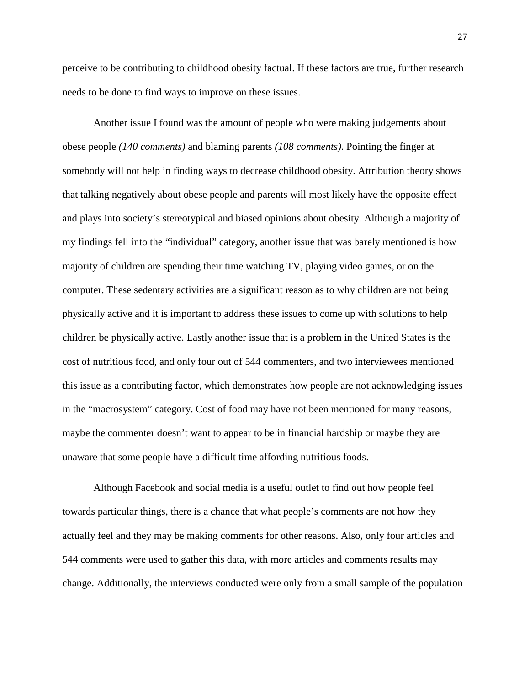perceive to be contributing to childhood obesity factual. If these factors are true, further research needs to be done to find ways to improve on these issues.

Another issue I found was the amount of people who were making judgements about obese people *(140 comments)* and blaming parents *(108 comments)*. Pointing the finger at somebody will not help in finding ways to decrease childhood obesity. Attribution theory shows that talking negatively about obese people and parents will most likely have the opposite effect and plays into society's stereotypical and biased opinions about obesity. Although a majority of my findings fell into the "individual" category, another issue that was barely mentioned is how majority of children are spending their time watching TV, playing video games, or on the computer. These sedentary activities are a significant reason as to why children are not being physically active and it is important to address these issues to come up with solutions to help children be physically active. Lastly another issue that is a problem in the United States is the cost of nutritious food, and only four out of 544 commenters, and two interviewees mentioned this issue as a contributing factor, which demonstrates how people are not acknowledging issues in the "macrosystem" category. Cost of food may have not been mentioned for many reasons, maybe the commenter doesn't want to appear to be in financial hardship or maybe they are unaware that some people have a difficult time affording nutritious foods.

Although Facebook and social media is a useful outlet to find out how people feel towards particular things, there is a chance that what people's comments are not how they actually feel and they may be making comments for other reasons. Also, only four articles and 544 comments were used to gather this data, with more articles and comments results may change. Additionally, the interviews conducted were only from a small sample of the population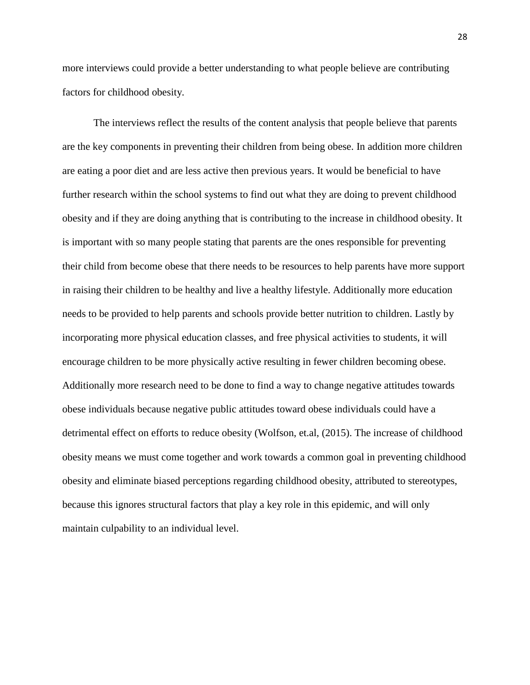more interviews could provide a better understanding to what people believe are contributing factors for childhood obesity.

The interviews reflect the results of the content analysis that people believe that parents are the key components in preventing their children from being obese. In addition more children are eating a poor diet and are less active then previous years. It would be beneficial to have further research within the school systems to find out what they are doing to prevent childhood obesity and if they are doing anything that is contributing to the increase in childhood obesity. It is important with so many people stating that parents are the ones responsible for preventing their child from become obese that there needs to be resources to help parents have more support in raising their children to be healthy and live a healthy lifestyle. Additionally more education needs to be provided to help parents and schools provide better nutrition to children. Lastly by incorporating more physical education classes, and free physical activities to students, it will encourage children to be more physically active resulting in fewer children becoming obese. Additionally more research need to be done to find a way to change negative attitudes towards obese individuals because negative public attitudes toward obese individuals could have a detrimental effect on efforts to reduce obesity (Wolfson, et.al, (2015). The increase of childhood obesity means we must come together and work towards a common goal in preventing childhood obesity and eliminate biased perceptions regarding childhood obesity, attributed to stereotypes, because this ignores structural factors that play a key role in this epidemic, and will only maintain culpability to an individual level.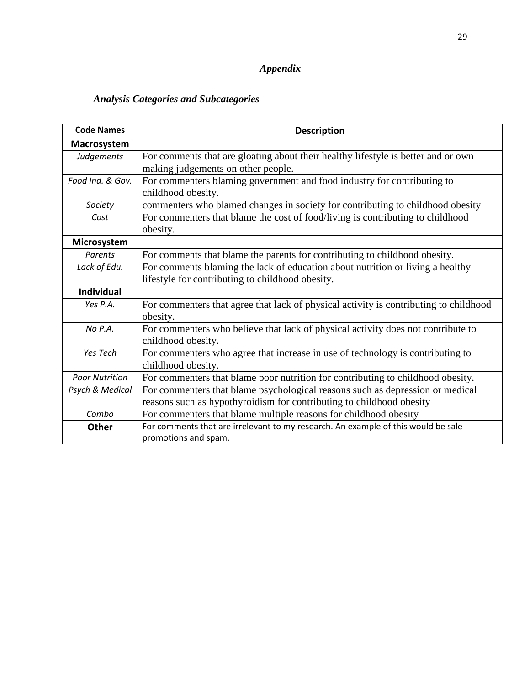# *Appendix*

# *Analysis Categories and Subcategories*

| <b>Code Names</b>     | <b>Description</b>                                                                                                                                    |
|-----------------------|-------------------------------------------------------------------------------------------------------------------------------------------------------|
| Macrosystem           |                                                                                                                                                       |
| Judgements            | For comments that are gloating about their healthy lifestyle is better and or own<br>making judgements on other people.                               |
| Food Ind. & Gov.      | For commenters blaming government and food industry for contributing to<br>childhood obesity.                                                         |
| Society               | commenters who blamed changes in society for contributing to childhood obesity                                                                        |
| Cost                  | For commenters that blame the cost of food/living is contributing to childhood<br>obesity.                                                            |
| Microsystem           |                                                                                                                                                       |
| Parents               | For comments that blame the parents for contributing to childhood obesity.                                                                            |
| Lack of Edu.          | For comments blaming the lack of education about nutrition or living a healthy<br>lifestyle for contributing to childhood obesity.                    |
| <b>Individual</b>     |                                                                                                                                                       |
| Yes P.A.              | For commenters that agree that lack of physical activity is contributing to childhood<br>obesity.                                                     |
| No P.A.               | For commenters who believe that lack of physical activity does not contribute to<br>childhood obesity.                                                |
| Yes Tech              | For commenters who agree that increase in use of technology is contributing to<br>childhood obesity.                                                  |
| <b>Poor Nutrition</b> | For commenters that blame poor nutrition for contributing to childhood obesity.                                                                       |
| Psych & Medical       | For commenters that blame psychological reasons such as depression or medical<br>reasons such as hypothyroidism for contributing to childhood obesity |
| Combo                 | For commenters that blame multiple reasons for childhood obesity                                                                                      |
| Other                 | For comments that are irrelevant to my research. An example of this would be sale<br>promotions and spam.                                             |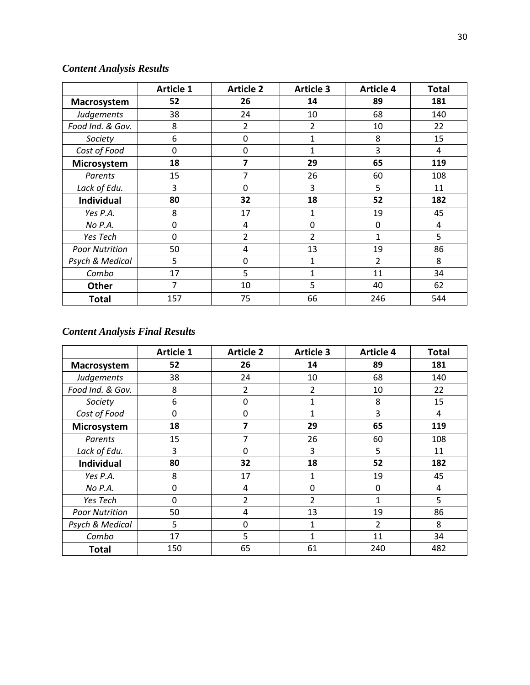# *Content Analysis Results*

|                       | <b>Article 1</b> | <b>Article 2</b> | <b>Article 3</b> | <b>Article 4</b> | <b>Total</b> |
|-----------------------|------------------|------------------|------------------|------------------|--------------|
| Macrosystem           | 52               | 26               | 14               | 89               | 181          |
| Judgements            | 38               | 24               | 10               | 68               | 140          |
| Food Ind. & Gov.      | 8                | $\overline{2}$   | $\overline{2}$   | 10               | 22           |
| Society               | 6                | 0                | 1                | 8                | 15           |
| Cost of Food          | 0                | 0                | 1                | 3                | 4            |
| Microsystem           | 18               | 7                | 29               | 65               | 119          |
| Parents               | 15               | 7                | 26               | 60               | 108          |
| Lack of Edu.          | 3                | 0                | 3                | 5                | 11           |
| <b>Individual</b>     | 80               | 32               | 18               | 52               | 182          |
| Yes P.A.              | 8                | 17               | 1                | 19               | 45           |
| No P.A.               | $\mathbf 0$      | 4                | 0                | $\mathbf 0$      | 4            |
| Yes Tech              | $\mathbf 0$      | $\overline{2}$   | 2                | $\mathbf{1}$     | 5            |
| <b>Poor Nutrition</b> | 50               | 4                | 13               | 19               | 86           |
| Psych & Medical       | 5                | 0                | 1                | $\overline{2}$   | 8            |
| Combo                 | 17               | 5                | 1                | 11               | 34           |
| Other                 | 7                | 10               | 5                | 40               | 62           |
| <b>Total</b>          | 157              | 75               | 66               | 246              | 544          |

# *Content Analysis Final Results*

|                       | <b>Article 1</b> | <b>Article 2</b> | <b>Article 3</b> | <b>Article 4</b> | <b>Total</b> |
|-----------------------|------------------|------------------|------------------|------------------|--------------|
| Macrosystem           | 52               | 26               | 14               | 89               | 181          |
| Judgements            | 38               | 24               | 10               | 68               | 140          |
| Food Ind. & Gov.      | 8                | 2                | 2                | 10               | 22           |
| Society               | 6                | $\mathbf 0$      | $\mathbf{1}$     | 8                | 15           |
| Cost of Food          | $\mathbf{0}$     | $\Omega$         | 1                | 3                | 4            |
| Microsystem           | 18               | 7                | 29               | 65               | 119          |
| Parents               | 15               | 7                | 26               | 60               | 108          |
| Lack of Edu.          | 3                | $\Omega$         | 3                | 5                | 11           |
| <b>Individual</b>     | 80               | 32               | 18               | 52               | 182          |
| Yes P.A.              | 8                | 17               | $\mathbf{1}$     | 19               | 45           |
| No P.A.               | 0                | 4                | $\mathbf 0$      | 0                | 4            |
| Yes Tech              | $\overline{0}$   | 2                | 2                | 1                | 5            |
| <b>Poor Nutrition</b> | 50               | 4                | 13               | 19               | 86           |
| Psych & Medical       | 5                | $\Omega$         | $\mathbf{1}$     | 2                | 8            |
| Combo                 | 17               | 5                | 1                | 11               | 34           |
| <b>Total</b>          | 150              | 65               | 61               | 240              | 482          |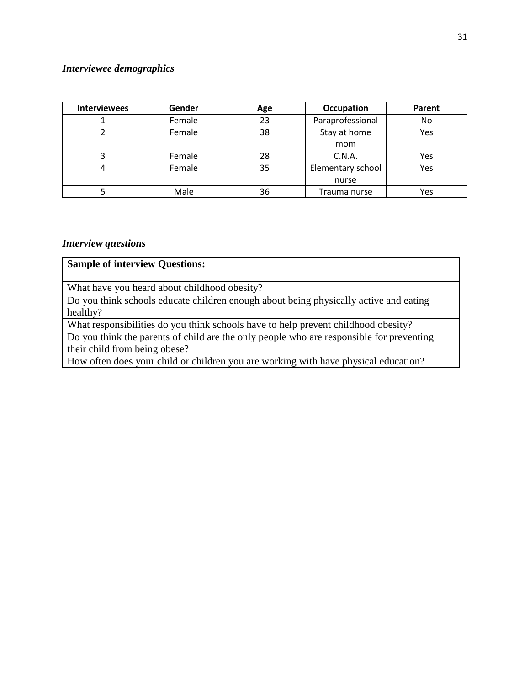# *Interviewee demographics*

| <b>Interviewees</b> | Gender | Age | <b>Occupation</b>        | Parent |
|---------------------|--------|-----|--------------------------|--------|
|                     | Female | 23  | Paraprofessional         | No.    |
|                     | Female | 38  | Stay at home<br>Yes      |        |
|                     |        |     | mom                      |        |
|                     | Female | 28  | C.N.A.<br>Yes            |        |
|                     | Female | 35  | Elementary school<br>Yes |        |
|                     |        |     | nurse                    |        |
|                     | Male   | 36  | Trauma nurse             | Yes    |

## *Interview questions*

| <b>Sample of interview Questions:</b>                                                    |
|------------------------------------------------------------------------------------------|
| What have you heard about childhood obesity?                                             |
| Do you think schools educate children enough about being physically active and eating    |
| healthy?                                                                                 |
| What responsibilities do you think schools have to help prevent childhood obesity?       |
| Do you think the parents of child are the only people who are responsible for preventing |
| their child from being obese?                                                            |
| How often does your child or children you are working with have physical education?      |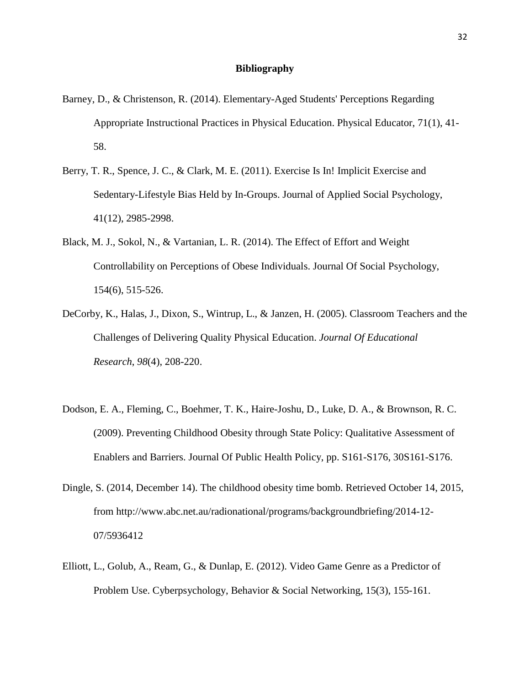#### **Bibliography**

- Barney, D., & Christenson, R. (2014). Elementary-Aged Students' Perceptions Regarding Appropriate Instructional Practices in Physical Education. Physical Educator, 71(1), 41- 58.
- Berry, T. R., Spence, J. C., & Clark, M. E. (2011). Exercise Is In! Implicit Exercise and Sedentary-Lifestyle Bias Held by In-Groups. Journal of Applied Social Psychology, 41(12), 2985-2998.
- Black, M. J., Sokol, N., & Vartanian, L. R. (2014). The Effect of Effort and Weight Controllability on Perceptions of Obese Individuals. Journal Of Social Psychology, 154(6), 515-526.
- DeCorby, K., Halas, J., Dixon, S., Wintrup, L., & Janzen, H. (2005). Classroom Teachers and the Challenges of Delivering Quality Physical Education. *Journal Of Educational Research*, *98*(4), 208-220.
- Dodson, E. A., Fleming, C., Boehmer, T. K., Haire-Joshu, D., Luke, D. A., & Brownson, R. C. (2009). Preventing Childhood Obesity through State Policy: Qualitative Assessment of Enablers and Barriers. Journal Of Public Health Policy, pp. S161-S176, 30S161-S176.
- Dingle, S. (2014, December 14). The childhood obesity time bomb. Retrieved October 14, 2015, from http://www.abc.net.au/radionational/programs/backgroundbriefing/2014-12- 07/5936412
- Elliott, L., Golub, A., Ream, G., & Dunlap, E. (2012). Video Game Genre as a Predictor of Problem Use. Cyberpsychology, Behavior & Social Networking, 15(3), 155-161.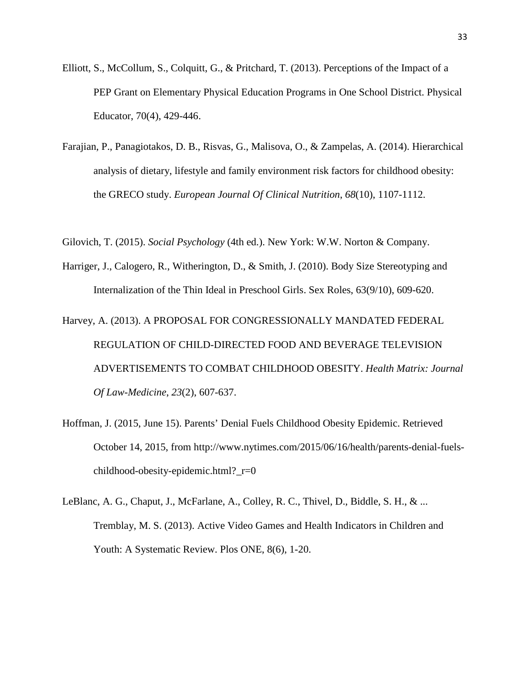- Elliott, S., McCollum, S., Colquitt, G., & Pritchard, T. (2013). Perceptions of the Impact of a PEP Grant on Elementary Physical Education Programs in One School District. Physical Educator, 70(4), 429-446.
- Farajian, P., Panagiotakos, D. B., Risvas, G., Malisova, O., & Zampelas, A. (2014). Hierarchical analysis of dietary, lifestyle and family environment risk factors for childhood obesity: the GRECO study. *European Journal Of Clinical Nutrition*, *68*(10), 1107-1112.

Gilovich, T. (2015). *Social Psychology* (4th ed.). New York: W.W. Norton & Company.

- Harriger, J., Calogero, R., Witherington, D., & Smith, J. (2010). Body Size Stereotyping and Internalization of the Thin Ideal in Preschool Girls. Sex Roles, 63(9/10), 609-620.
- Harvey, A. (2013). A PROPOSAL FOR CONGRESSIONALLY MANDATED FEDERAL REGULATION OF CHILD-DIRECTED FOOD AND BEVERAGE TELEVISION ADVERTISEMENTS TO COMBAT CHILDHOOD OBESITY. *Health Matrix: Journal Of Law-Medicine*, *23*(2), 607-637.
- Hoffman, J. (2015, June 15). Parents' Denial Fuels Childhood Obesity Epidemic. Retrieved October 14, 2015, from http://www.nytimes.com/2015/06/16/health/parents-denial-fuelschildhood-obesity-epidemic.html?\_r=0
- LeBlanc, A. G., Chaput, J., McFarlane, A., Colley, R. C., Thivel, D., Biddle, S. H., & ... Tremblay, M. S. (2013). Active Video Games and Health Indicators in Children and Youth: A Systematic Review. Plos ONE, 8(6), 1-20.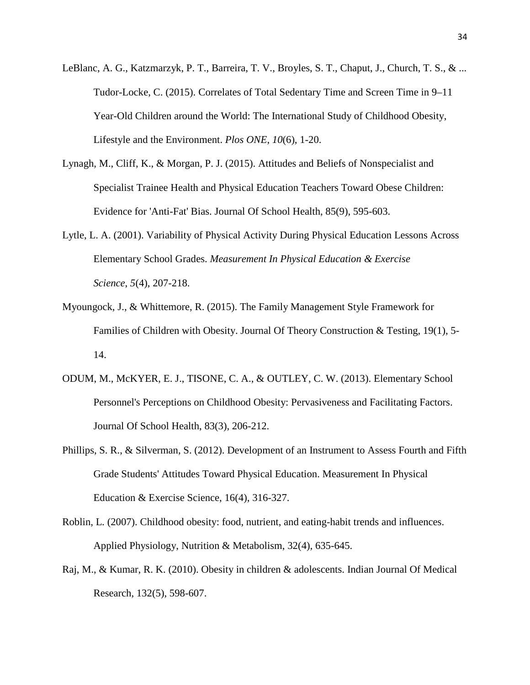- LeBlanc, A. G., Katzmarzyk, P. T., Barreira, T. V., Broyles, S. T., Chaput, J., Church, T. S., & ... Tudor-Locke, C. (2015). Correlates of Total Sedentary Time and Screen Time in 9–11 Year-Old Children around the World: The International Study of Childhood Obesity, Lifestyle and the Environment. *Plos ONE*, *10*(6), 1-20.
- Lynagh, M., Cliff, K., & Morgan, P. J. (2015). Attitudes and Beliefs of Nonspecialist and Specialist Trainee Health and Physical Education Teachers Toward Obese Children: Evidence for 'Anti-Fat' Bias. Journal Of School Health, 85(9), 595-603.
- Lytle, L. A. (2001). Variability of Physical Activity During Physical Education Lessons Across Elementary School Grades. *Measurement In Physical Education & Exercise Science*, *5*(4), 207-218.
- Myoungock, J., & Whittemore, R. (2015). The Family Management Style Framework for Families of Children with Obesity. Journal Of Theory Construction & Testing, 19(1), 5- 14.
- ODUM, M., McKYER, E. J., TISONE, C. A., & OUTLEY, C. W. (2013). Elementary School Personnel's Perceptions on Childhood Obesity: Pervasiveness and Facilitating Factors. Journal Of School Health, 83(3), 206-212.
- Phillips, S. R., & Silverman, S. (2012). Development of an Instrument to Assess Fourth and Fifth Grade Students' Attitudes Toward Physical Education. Measurement In Physical Education & Exercise Science, 16(4), 316-327.
- Roblin, L. (2007). Childhood obesity: food, nutrient, and eating-habit trends and influences. Applied Physiology, Nutrition & Metabolism, 32(4), 635-645.
- Raj, M., & Kumar, R. K. (2010). Obesity in children & adolescents. Indian Journal Of Medical Research, 132(5), 598-607.